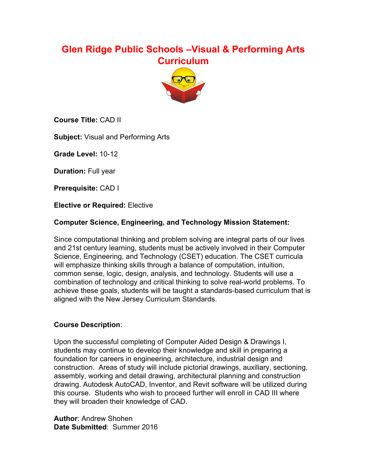# **Glen Ridge Public Schools –Visual & Performing Arts Curriculum**



**Course Title:** CAD II

**Subject:** Visual and Performing Arts

**Grade Level: 10-12** 

**Duration:** Full year

**Prerequisite:** CAD I

**Elective or Required:** Elective

### **Computer Science, Engineering, and Technology Mission Statement:**

Since computational thinking and problem solving are integral parts of our lives and 21st century learning, students must be actively involved in their Computer Science, Engineering, and Technology (CSET) education. The CSET curricula will emphasize thinking skills through a balance of computation, intuition, common sense, logic, design, analysis, and technology. Students will use a combination of technology and critical thinking to solve real-world problems. To achieve these goals, students will be taught a standards-based curriculum that is aligned with the New Jersey Curriculum Standards.

### **Course Description**:

Upon the successful completing of Computer Aided Design & Drawings I, students may continue to develop their knowledge and skill in preparing a foundation for careers in engineering, architecture, industrial design and construction. Areas of study will include pictorial drawings, auxiliary, sectioning, assembly, working and detail drawing, architectural planning and construction drawing. Autodesk AutoCAD, Inventor, and Revit software will be utilized during this course. Students who wish to proceed further will enroll in CAD III where they will broaden their knowledge of CAD.

**Author**: Andrew Shohen **Date Submitted**: Summer 2016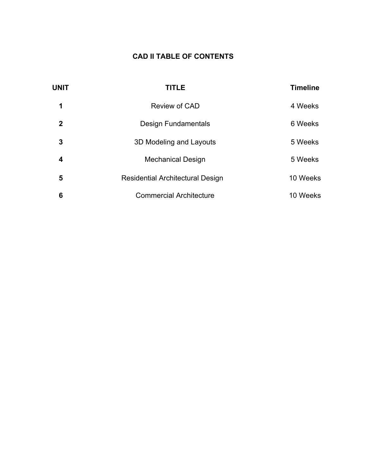## **CAD II TABLE OF CONTENTS**

| <b>UNIT</b> | <b>TITLE</b>                            | <b>Timeline</b> |
|-------------|-----------------------------------------|-----------------|
| 1           | Review of CAD                           | 4 Weeks         |
| 2           | <b>Design Fundamentals</b>              | 6 Weeks         |
| 3           | 3D Modeling and Layouts                 | 5 Weeks         |
| 4           | <b>Mechanical Design</b>                | 5 Weeks         |
| 5           | <b>Residential Architectural Design</b> | 10 Weeks        |
| 6           | <b>Commercial Architecture</b>          | 10 Weeks        |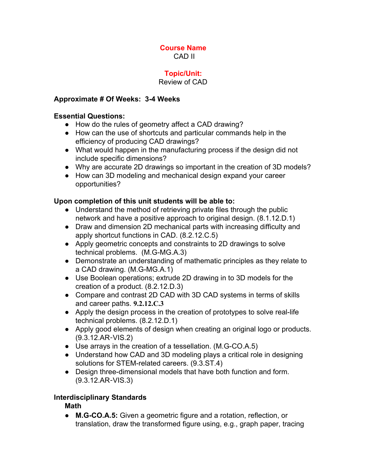#### **Course Name** CAD II

### **Topic/Unit:**

### Review of CAD

### **Approximate # Of Weeks: 34 Weeks**

#### **Essential Questions:**

- How do the rules of geometry affect a CAD drawing?
- How can the use of shortcuts and particular commands help in the efficiency of producing CAD drawings?
- What would happen in the manufacturing process if the design did not include specific dimensions?
- Why are accurate 2D drawings so important in the creation of 3D models?
- How can 3D modeling and mechanical design expand your career opportunities?

### **Upon completion of this unit students will be able to:**

- Understand the method of retrieving private files through the public network and have a positive approach to original design. (8.1.12.D.1)
- Draw and dimension 2D mechanical parts with increasing difficulty and apply shortcut functions in CAD. (8.2.12.C.5)
- Apply geometric concepts and constraints to 2D drawings to solve technical problems. (M.G-MG.A.3)
- **●** Demonstrate an understanding of mathematic principles as they relate to a CAD drawing. (M.G-MG.A.1)
- Use Boolean operations; extrude 2D drawing in to 3D models for the creation of a product. (8.2.12.D.3)
- **●** Compare and contrast 2D CAD with 3D CAD systems in terms of skills and career paths. **9.2.12.C.3**
- Apply the design process in the creation of prototypes to solve real-life technical problems. (8.2.12.D.1)
- **●** Apply good elements of design when creating an original logo or products. (9.3.12.AR‐VIS.2)
- Use arrays in the creation of a tessellation. (M.G-CO.A.5)
- *●* Understand how CAD and 3D modeling plays a critical role in designing solutions for STEM-related careers. (9.3.ST.4)
- Design three-dimensional models that have both function and form. (9.3.12.AR‐VIS.3)

### **Interdisciplinary Standards**

## **Math**

● **M.GCO.A.5:** Given a geometric figure and a rotation, reflection, or translation, draw the transformed figure using, e.g., graph paper, tracing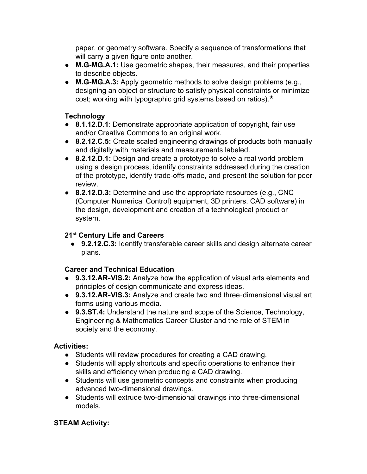paper, or geometry software. Specify a sequence of transformations that will carry a given figure onto another.

- M.G-MG.A.1: Use geometric shapes, their measures, and their properties to describe objects.
- M.G-MG.A.3: Apply geometric methods to solve design problems (e.g., designing an object or structure to satisfy physical constraints or minimize cost; working with typographic grid systems based on ratios).★

## **Technology**

- **8.1.12.D.1**: Demonstrate appropriate application of copyright, fair use and/or Creative Commons to an original work.
- **8.2.12.C.5:** Create scaled engineering drawings of products both manually and digitally with materials and measurements labeled.
- **8.2.12.D.1:** Design and create a prototype to solve a real world problem using a design process, identify constraints addressed during the creation of the prototype, identify trade-offs made, and present the solution for peer review.
- **8.2.12.D.3:** Determine and use the appropriate resources (e.g., CNC (Computer Numerical Control) equipment, 3D printers, CAD software) in the design, development and creation of a technological product or system.

# **21 st Century Life and Careers**

● **9.2.12.C.3:** Identify transferable career skills and design alternate career plans.

### **Career and Technical Education**

- **9.3.12.AR**‐**VIS.2:** Analyze how the application of visual arts elements and principles of design communicate and express ideas.
- 9.3.12.AR-VIS.3: Analyze and create two and three-dimensional visual art forms using various media.
- **9.3.ST.4:** Understand the nature and scope of the Science, Technology, Engineering & Mathematics Career Cluster and the role of STEM in society and the economy.

### **Activities:**

- Students will review procedures for creating a CAD drawing.
- Students will apply shortcuts and specific operations to enhance their skills and efficiency when producing a CAD drawing.
- Students will use geometric concepts and constraints when producing advanced two-dimensional drawings.
- Students will extrude two-dimensional drawings into three-dimensional models.

## **STEAM Activity:**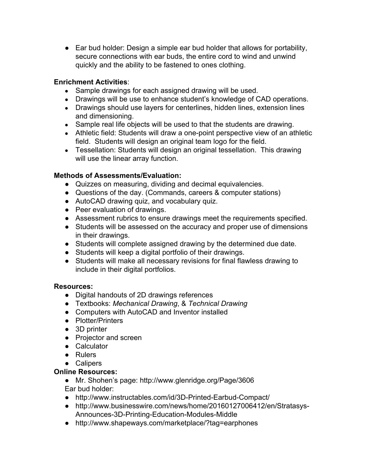• Ear bud holder: Design a simple ear bud holder that allows for portability, secure connections with ear buds, the entire cord to wind and unwind quickly and the ability to be fastened to ones clothing.

### **Enrichment Activities**:

- **●** Sample drawings for each assigned drawing will be used.
- **●** Drawings will be use to enhance student's knowledge of CAD operations.
- Drawings should use layers for centerlines, hidden lines, extension lines and dimensioning.
- Sample real life objects will be used to that the students are drawing.
- Athletic field: Students will draw a one-point perspective view of an athletic field. Students will design an original team logo for the field.
- Tessellation: Students will design an original tessellation. This drawing will use the linear array function.

### **Methods of Assessments/Evaluation:**

- Quizzes on measuring, dividing and decimal equivalencies.
- Questions of the day. (Commands, careers & computer stations)
- AutoCAD drawing quiz, and vocabulary quiz.
- Peer evaluation of drawings.
- Assessment rubrics to ensure drawings meet the requirements specified.
- **●** Students will be assessed on the accuracy and proper use of dimensions in their drawings.
- Students will complete assigned drawing by the determined due date.
- Students will keep a digital portfolio of their drawings.
- Students will make all necessary revisions for final flawless drawing to include in their digital portfolios.

### **Resources:**

- **●** Digital handouts of 2D drawings references
- **●** Textbooks: *Mechanical Drawing*, & *Technical Drawing*
- **●** Computers with AutoCAD and Inventor installed
- **●** Plotter/Printers
- **●** 3D printer
- **●** Projector and screen
- **●** Calculator
- **●** Rulers
- **●** Calipers

### **Online Resources:**

- Mr. Shohen's page: http://www.glenridge.org/Page/3606 Ear bud holder:
- http://www.instructables.com/id/3D-Printed-Earbud-Compact/
- http://www.businesswire.com/news/home/20160127006412/en/Stratasys-Announces-3D-Printing-Education-Modules-Middle
- http://www.shapeways.com/marketplace/?tag=earphones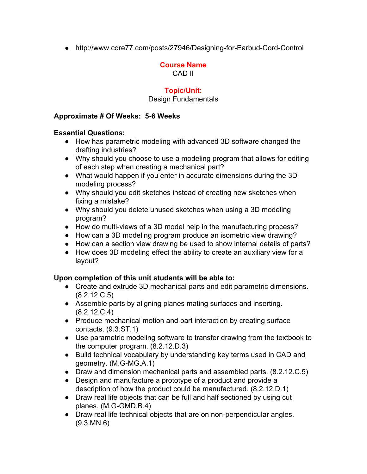• http://www.core77.com/posts/27946/Designing-for-Earbud-Cord-Control

## **Course Name**

CAD II

## **Topic/Unit:**

#### Design Fundamentals

#### **Approximate # Of Weeks: 56 Weeks**

#### **Essential Questions:**

- How has parametric modeling with advanced 3D software changed the drafting industries?
- Why should you choose to use a modeling program that allows for editing of each step when creating a mechanical part?
- What would happen if you enter in accurate dimensions during the 3D modeling process?
- Why should you edit sketches instead of creating new sketches when fixing a mistake?
- Why should you delete unused sketches when using a 3D modeling program?
- How do multi-views of a 3D model help in the manufacturing process?
- How can a 3D modeling program produce an isometric view drawing?
- How can a section view drawing be used to show internal details of parts?
- How does 3D modeling effect the ability to create an auxiliary view for a layout?

### **Upon completion of this unit students will be able to:**

- Create and extrude 3D mechanical parts and edit parametric dimensions. (8.2.12.C.5)
- Assemble parts by aligning planes mating surfaces and inserting. (8.2.12.C.4)
- Produce mechanical motion and part interaction by creating surface contacts. (9.3.ST.1)
- Use parametric modeling software to transfer drawing from the textbook to the computer program. (8.2.12.D.3)
- Build technical vocabulary by understanding key terms used in CAD and geometry. (M.G-MG.A.1)
- Draw and dimension mechanical parts and assembled parts. (8.2.12.C.5)
- Design and manufacture a prototype of a product and provide a description of how the product could be manufactured. (8.2.12.D.1)
- Draw real life objects that can be full and half sectioned by using cut planes. (M.G-GMD.B.4)
- Draw real life technical objects that are on non-perpendicular angles. (9.3.MN.6)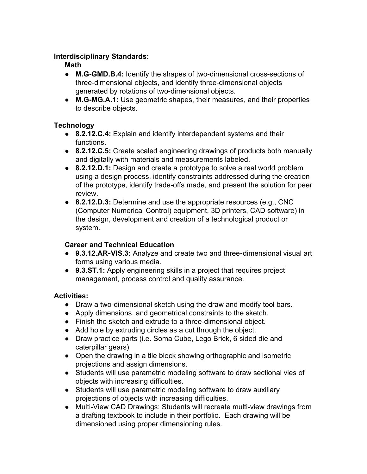### **Interdisciplinary Standards:**

### **Math**

- M.G-GMD.B.4: Identify the shapes of two-dimensional cross-sections of three-dimensional objects, and identify three-dimensional objects generated by rotations of two-dimensional objects.
- M.G-MG.A.1: Use geometric shapes, their measures, and their properties to describe objects.

## **Technology**

- **8.2.12.C.4:** Explain and identify interdependent systems and their functions.
- **8.2.12.C.5:** Create scaled engineering drawings of products both manually and digitally with materials and measurements labeled.
- **8.2.12.D.1:** Design and create a prototype to solve a real world problem using a design process, identify constraints addressed during the creation of the prototype, identify trade-offs made, and present the solution for peer review.
- **8.2.12.D.3:** Determine and use the appropriate resources (e.g., CNC (Computer Numerical Control) equipment, 3D printers, CAD software) in the design, development and creation of a technological product or system.

## **Career and Technical Education**

- **9.3.12.AR**‐**VIS.3:** Analyze and create two and three‐dimensional visual art forms using various media.
- **9.3.ST.1:** Apply engineering skills in a project that requires project management, process control and quality assurance.

## **Activities:**

- Draw a two-dimensional sketch using the draw and modify tool bars.
- Apply dimensions, and geometrical constraints to the sketch.
- Finish the sketch and extrude to a three-dimensional object.
- Add hole by extruding circles as a cut through the object.
- Draw practice parts (i.e. Soma Cube, Lego Brick, 6 sided die and caterpillar gears)
- Open the drawing in a tile block showing orthographic and isometric projections and assign dimensions.
- Students will use parametric modeling software to draw sectional vies of objects with increasing difficulties.
- Students will use parametric modeling software to draw auxiliary projections of objects with increasing difficulties.
- Multi-View CAD Drawings: Students will recreate multi-view drawings from a drafting textbook to include in their portfolio. Each drawing will be dimensioned using proper dimensioning rules.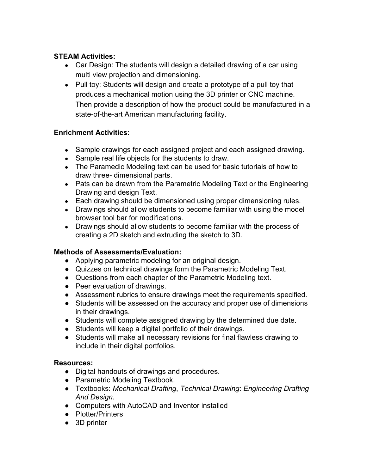### **STEAM Activities:**

- **●** Car Design: The students will design a detailed drawing of a car using multi view projection and dimensioning.
- **●** Pull toy: Students will design and create a prototype of a pull toy that produces a mechanical motion using the 3D printer or CNC machine. Then provide a description of how the product could be manufactured in a state-of-the-art American manufacturing facility.

### **Enrichment Activities**:

- Sample drawings for each assigned project and each assigned drawing.
- Sample real life objects for the students to draw.
- The Paramedic Modeling text can be used for basic tutorials of how to draw three- dimensional parts.
- Pats can be drawn from the Parametric Modeling Text or the Engineering Drawing and design Text.
- Each drawing should be dimensioned using proper dimensioning rules.
- Drawings should allow students to become familiar with using the model browser tool bar for modifications.
- Drawings should allow students to become familiar with the process of creating a 2D sketch and extruding the sketch to 3D.

### **Methods of Assessments/Evaluation:**

- Applying parametric modeling for an original design.
- Quizzes on technical drawings form the Parametric Modeling Text.
- Questions from each chapter of the Parametric Modeling text.
- Peer evaluation of drawings.
- Assessment rubrics to ensure drawings meet the requirements specified.
- **●** Students will be assessed on the accuracy and proper use of dimensions in their drawings.
- Students will complete assigned drawing by the determined due date.
- Students will keep a digital portfolio of their drawings.
- Students will make all necessary revisions for final flawless drawing to include in their digital portfolios.

## **Resources:**

- **●** Digital handouts of drawings and procedures.
- **●** Parametric Modeling Textbook.
- **●** Textbooks: *Mechanical Drafting*, *Technical Drawing*: *Engineering Drafting And Design.*
- **●** Computers with AutoCAD and Inventor installed
- **●** Plotter/Printers
- **●** 3D printer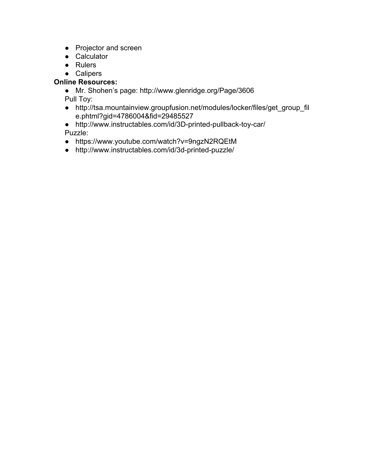- **●** Projector and screen
- **●** Calculator
- **●** Rulers
- **●** Calipers

## **Online Resources:**

- Mr. Shohen's page: http://www.glenridge.org/Page/3606 Pull Toy:
- http://tsa.mountainview.groupfusion.net/modules/locker/files/get\_group\_fil e.phtml?gid=4786004&fid=29485527
- $\bullet$  http://www.instructables.com/id/3D-printed-pullback-toy-car/ Puzzle:
- https://www.youtube.com/watch?v=9ngzN2RQEtM
- $\bullet$  http://www.instructables.com/id/3d-printed-puzzle/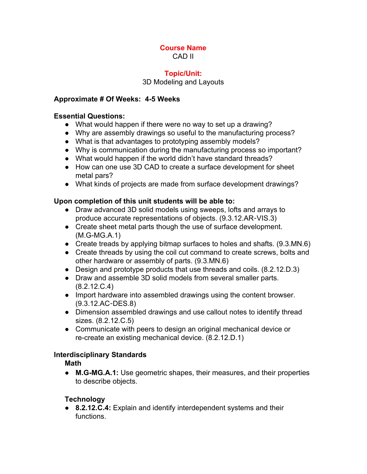#### **Course Name** CAD II

#### **Topic/Unit:**

#### 3D Modeling and Layouts

#### **Approximate # Of Weeks: 45 Weeks**

#### **Essential Questions:**

- What would happen if there were no way to set up a drawing?
- Why are assembly drawings so useful to the manufacturing process?
- What is that advantages to prototyping assembly models?
- Why is communication during the manufacturing process so important?
- What would happen if the world didn't have standard threads?
- How can one use 3D CAD to create a surface development for sheet metal pars?
- What kinds of projects are made from surface development drawings?

#### **Upon completion of this unit students will be able to:**

- Draw advanced 3D solid models using sweeps, lofts and arrays to produce accurate representations of objects. (9.3.12.AR‐VIS.3)
- Create sheet metal parts though the use of surface development.  $(M.G-MG.A.1)$
- Create treads by applying bitmap surfaces to holes and shafts. (9.3.MN.6)
- Create threads by using the coil cut command to create screws, bolts and other hardware or assembly of parts. (9.3.MN.6)
- Design and prototype products that use threads and coils. (8.2.12.D.3)
- Draw and assemble 3D solid models from several smaller parts. (8.2.12.C.4)
- Import hardware into assembled drawings using the content browser. (9.3.12.AC‐DES.8)
- Dimension assembled drawings and use callout notes to identify thread sizes. (8.2.12.C.5)
- Communicate with peers to design an original mechanical device or re-create an existing mechanical device. (8.2.12.D.1)

### **Interdisciplinary Standards**

**Math**

• M.G-MG.A.1: Use geometric shapes, their measures, and their properties to describe objects.

### **Technology**

● **8.2.12.C.4:** Explain and identify interdependent systems and their functions.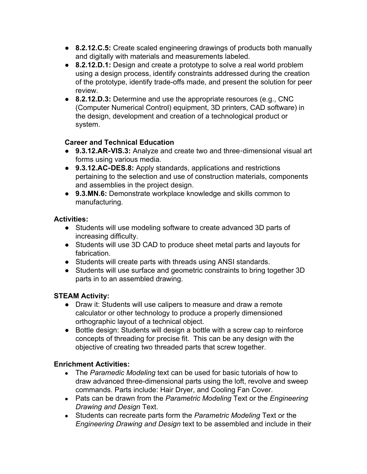- **8.2.12.C.5:** Create scaled engineering drawings of products both manually and digitally with materials and measurements labeled.
- **8.2.12.D.1:** Design and create a prototype to solve a real world problem using a design process, identify constraints addressed during the creation of the prototype, identify trade-offs made, and present the solution for peer review.
- **8.2.12.D.3:** Determine and use the appropriate resources (e.g., CNC (Computer Numerical Control) equipment, 3D printers, CAD software) in the design, development and creation of a technological product or system.

### **Career and Technical Education**

- 9.3.12.AR-VIS.3: Analyze and create two and three-dimensional visual art forms using various media.
- **9.3.12.AC**‐**DES.8:** Apply standards, applications and restrictions pertaining to the selection and use of construction materials, components and assemblies in the project design.
- **9.3.MN.6:** Demonstrate workplace knowledge and skills common to manufacturing.

### **Activities:**

- Students will use modeling software to create advanced 3D parts of increasing difficulty.
- Students will use 3D CAD to produce sheet metal parts and layouts for fabrication.
- Students will create parts with threads using ANSI standards.
- Students will use surface and geometric constraints to bring together 3D parts in to an assembled drawing.

## **STEAM Activity:**

- Draw it: Students will use calipers to measure and draw a remote calculator or other technology to produce a properly dimensioned orthographic layout of a technical object.
- Bottle design: Students will design a bottle with a screw cap to reinforce concepts of threading for precise fit. This can be any design with the objective of creating two threaded parts that screw together.

## **Enrichment Activities:**

- The *Paramedic Modeling* text can be used for basic tutorials of how to draw advanced three-dimensional parts using the loft, revolve and sweep commands. Parts include: Hair Dryer, and Cooling Fan Cover.
- Pats can be drawn from the *Parametric Modeling* Text or the *Engineering Drawing and Design* Text.
- Students can recreate parts form the *Parametric Modeling* Text or the *Engineering Drawing and Design* text to be assembled and include in their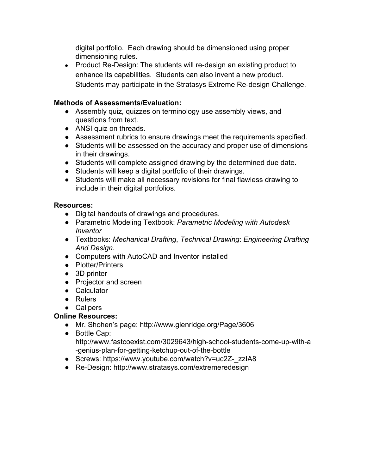digital portfolio. Each drawing should be dimensioned using proper dimensioning rules.

• Product Re-Design: The students will re-design an existing product to enhance its capabilities. Students can also invent a new product. Students may participate in the Stratasys Extreme Re-design Challenge.

### **Methods of Assessments/Evaluation:**

- **●** Assembly quiz, quizzes on terminology use assembly views, and questions from text.
- ANSI quiz on threads.
- Assessment rubrics to ensure drawings meet the requirements specified.
- **●** Students will be assessed on the accuracy and proper use of dimensions in their drawings.
- Students will complete assigned drawing by the determined due date.
- Students will keep a digital portfolio of their drawings.
- Students will make all necessary revisions for final flawless drawing to include in their digital portfolios.

### **Resources:**

- **●** Digital handouts of drawings and procedures.
- **●** Parametric Modeling Textbook: *Parametric Modeling with Autodesk Inventor*
- **●** Textbooks: *Mechanical Drafting*, *Technical Drawing*: *Engineering Drafting And Design.*
- **●** Computers with AutoCAD and Inventor installed
- **●** Plotter/Printers
- **●** 3D printer
- **●** Projector and screen
- **●** Calculator
- **●** Rulers
- **●** Calipers

## **Online Resources:**

- Mr. Shohen's page: http://www.glenridge.org/Page/3606
- Bottle Cap: http://www.fastcoexist.com/3029643/high-school-students-come-up-with-a -genius-plan-for-getting-ketchup-out-of-the-bottle
- Screws: https://www.youtube.com/watch?v=uc2Z\_zzIA8
- **●** ReDesign: http://www.stratasys.com/extremeredesign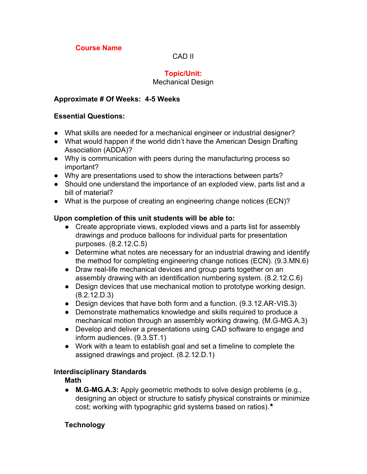### **Course Name**

#### CAD II

### **Topic/Unit:**

#### Mechanical Design

#### **Approximate # Of Weeks: 45 Weeks**

#### **Essential Questions:**

- What skills are needed for a mechanical engineer or industrial designer?
- What would happen if the world didn't have the American Design Drafting Association (ADDA)?
- Why is communication with peers during the manufacturing process so important?
- Why are presentations used to show the interactions between parts?
- Should one understand the importance of an exploded view, parts list and a bill of material?
- What is the purpose of creating an engineering change notices (ECN)?

#### **Upon completion of this unit students will be able to:**

- Create appropriate views, exploded views and a parts list for assembly drawings and produce balloons for individual parts for presentation purposes. (8.2.12.C.5)
- Determine what notes are necessary for an industrial drawing and identify the method for completing engineering change notices (ECN). (9.3.MN.6)
- Draw real-life mechanical devices and group parts together on an assembly drawing with an identification numbering system. (8.2.12.C.6)
- Design devices that use mechanical motion to prototype working design. (8.2.12.D.3)
- Design devices that have both form and a function. (9.3.12.AR-VIS.3)
- Demonstrate mathematics knowledge and skills required to produce a mechanical motion through an assembly working drawing. (M.G-MG.A.3)
- Develop and deliver a presentations using CAD software to engage and inform audiences. (9.3.ST.1)
- Work with a team to establish goal and set a timeline to complete the assigned drawings and project. (8.2.12.D.1)

#### **Interdisciplinary Standards**

**Math**

● **M.G-MG.A.3:** Apply geometric methods to solve design problems (e.g., designing an object or structure to satisfy physical constraints or minimize cost; working with typographic grid systems based on ratios).★

### **Technology**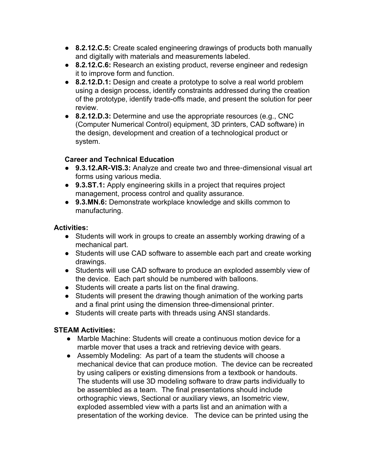- **8.2.12.C.5:** Create scaled engineering drawings of products both manually and digitally with materials and measurements labeled.
- **8.2.12.C.6:** Research an existing product, reverse engineer and redesign it to improve form and function.
- **8.2.12.D.1:** Design and create a prototype to solve a real world problem using a design process, identify constraints addressed during the creation of the prototype, identify trade-offs made, and present the solution for peer review.
- **8.2.12.D.3:** Determine and use the appropriate resources (e.g., CNC (Computer Numerical Control) equipment, 3D printers, CAD software) in the design, development and creation of a technological product or system.

### **Career and Technical Education**

- **9.3.12.AR**‐**VIS.3:** Analyze and create two and three‐dimensional visual art forms using various media.
- **9.3.ST.1:** Apply engineering skills in a project that requires project management, process control and quality assurance.
- **9.3.MN.6:** Demonstrate workplace knowledge and skills common to manufacturing.

### **Activities:**

- Students will work in groups to create an assembly working drawing of a mechanical part.
- **●** Students will use CAD software to assemble each part and create working drawings.
- **●** Students will use CAD software to produce an exploded assembly view of the device. Each part should be numbered with balloons.
- **●** Students will create a parts list on the final drawing.
- **●** Students will present the drawing though animation of the working parts and a final print using the dimension three-dimensional printer.
- Students will create parts with threads using ANSI standards.

## **STEAM Activities:**

- Marble Machine: Students will create a continuous motion device for a marble mover that uses a track and retrieving device with gears.
- **●** Assembly Modeling: As part of a team the students will choose a mechanical device that can produce motion. The device can be recreated by using calipers or existing dimensions from a textbook or handouts. The students will use 3D modeling software to draw parts individually to be assembled as a team. The final presentations should include orthographic views, Sectional or auxiliary views, an Isometric view, exploded assembled view with a parts list and an animation with a presentation of the working device. The device can be printed using the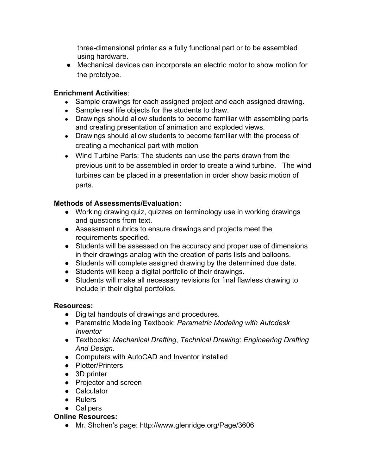three-dimensional printer as a fully functional part or to be assembled using hardware.

● Mechanical devices can incorporate an electric motor to show motion for the prototype.

### **Enrichment Activities**:

- Sample drawings for each assigned project and each assigned drawing.
- Sample real life objects for the students to draw.
- Drawings should allow students to become familiar with assembling parts and creating presentation of animation and exploded views.
- **●** Drawings should allow students to become familiar with the process of creating a mechanical part with motion
- **●** Wind Turbine Parts: The students can use the parts drawn from the previous unit to be assembled in order to create a wind turbine. The wind turbines can be placed in a presentation in order show basic motion of parts.

### **Methods of Assessments/Evaluation:**

- **●** Working drawing quiz, quizzes on terminology use in working drawings and questions from text.
- Assessment rubrics to ensure drawings and projects meet the requirements specified.
- **●** Students will be assessed on the accuracy and proper use of dimensions in their drawings analog with the creation of parts lists and balloons.
- Students will complete assigned drawing by the determined due date.
- Students will keep a digital portfolio of their drawings.
- Students will make all necessary revisions for final flawless drawing to include in their digital portfolios.

### **Resources:**

- **●** Digital handouts of drawings and procedures.
- **●** Parametric Modeling Textbook: *Parametric Modeling with Autodesk Inventor*
- **●** Textbooks: *Mechanical Drafting*, *Technical Drawing*: *Engineering Drafting And Design.*
- **●** Computers with AutoCAD and Inventor installed
- **●** Plotter/Printers
- **●** 3D printer
- **●** Projector and screen
- **●** Calculator
- **●** Rulers
- **●** Calipers

### **Online Resources:**

● Mr. Shohen's page: http://www.glenridge.org/Page/3606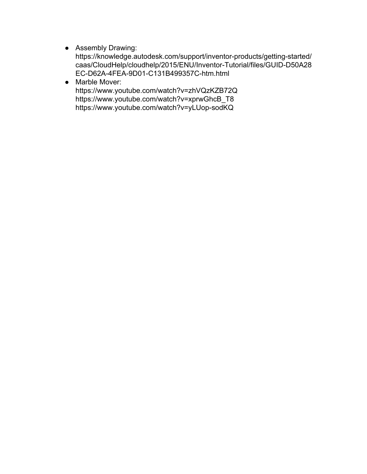- Assembly Drawing:
	- https://knowledge.autodesk.com/support/inventor-products/getting-started/ caas/CloudHelp/cloudhelp/2015/ENU/Inventor-Tutorial/files/GUID-D50A28 EC-D62A-4FEA-9D01-C131B499357C-htm.html
- Marble Mover: https://www.youtube.com/watch?v=zhVQzKZB72Q https://www.youtube.com/watch?v=xprwGhcB\_T8 https://www.youtube.com/watch?v=yLUop-sodKQ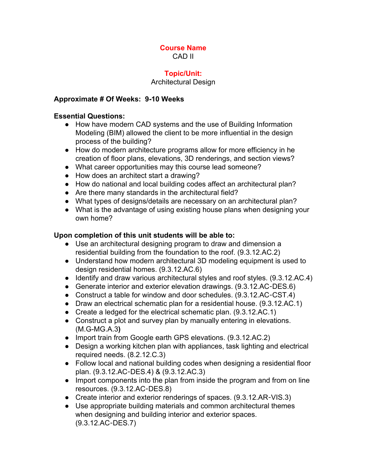#### **Course Name** CAD II

#### **Topic/Unit:**

#### Architectural Design

#### **Approximate # Of Weeks: 910 Weeks**

#### **Essential Questions:**

- How have modern CAD systems and the use of Building Information Modeling (BIM) allowed the client to be more influential in the design process of the building?
- How do modern architecture programs allow for more efficiency in he creation of floor plans, elevations, 3D renderings, and section views?
- What career opportunities may this course lead someone?
- How does an architect start a drawing?
- How do national and local building codes affect an architectural plan?
- Are there many standards in the architectural field?
- What types of designs/details are necessary on an architectural plan?
- What is the advantage of using existing house plans when designing your own home?

#### **Upon completion of this unit students will be able to:**

- Use an architectural designing program to draw and dimension a residential building from the foundation to the roof. (9.3.12.AC.2)
- Understand how modern architectural 3D modeling equipment is used to design residential homes. (9.3.12.AC.6)
- Identify and draw various architectural styles and roof styles. (9.3.12.AC.4)
- Generate interior and exterior elevation drawings. (9.3.12.AC-DES.6)
- Construct a table for window and door schedules. (9.3.12.AC-CST.4)
- Draw an electrical schematic plan for a residential house. (9.3.12.AC.1)
- Create a ledged for the electrical schematic plan. (9.3.12.AC.1)
- Construct a plot and survey plan by manually entering in elevations. (M.GMG.A.3**)**
- Import train from Google earth GPS elevations. (9.3.12.AC.2)
- Design a working kitchen plan with appliances, task lighting and electrical required needs. (8.2.12.C.3)
- Follow local and national building codes when designing a residential floor plan. (9.3.12.AC‐DES.4) & (9.3.12.AC.3)
- Import components into the plan from inside the program and from on line resources. (9.3.12.AC‐DES.8)
- Create interior and exterior renderings of spaces. (9.3.12.AR-VIS.3)
- Use appropriate building materials and common architectural themes when designing and building interior and exterior spaces. (9.3.12.AC‐DES.7)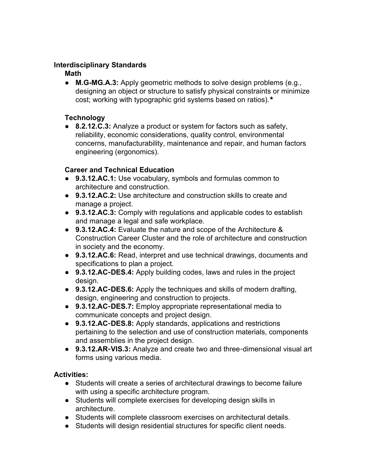### **Interdisciplinary Standards**

#### **Math**

• **M.G-MG.A.3:** Apply geometric methods to solve design problems (e.g., designing an object or structure to satisfy physical constraints or minimize cost; working with typographic grid systems based on ratios).★

### **Technology**

● **8.2.12.C.3:** Analyze a product or system for factors such as safety, reliability, economic considerations, quality control, environmental concerns, manufacturability, maintenance and repair, and human factors engineering (ergonomics).

### **Career and Technical Education**

- **9.3.12.AC.1:** Use vocabulary, symbols and formulas common to architecture and construction.
- **9.3.12.AC.2:** Use architecture and construction skills to create and manage a project.
- **9.3.12.AC.3:** Comply with regulations and applicable codes to establish and manage a legal and safe workplace.
- **9.3.12.AC.4:** Evaluate the nature and scope of the Architecture & Construction Career Cluster and the role of architecture and construction in society and the economy.
- **9.3.12.AC.6:** Read, interpret and use technical drawings, documents and specifications to plan a project.
- **9.3.12.AC**‐**DES.4:** Apply building codes, laws and rules in the project design.
- **9.3.12.AC**‐**DES.6:** Apply the techniques and skills of modern drafting, design, engineering and construction to projects.
- **9.3.12.AC**‐**DES.7:** Employ appropriate representational media to communicate concepts and project design.
- **9.3.12.AC**‐**DES.8:** Apply standards, applications and restrictions pertaining to the selection and use of construction materials, components and assemblies in the project design.
- 9.3.12.AR-VIS.3: Analyze and create two and three-dimensional visual art forms using various media.

### **Activities:**

- Students will create a series of architectural drawings to become failure with using a specific architecture program.
- Students will complete exercises for developing design skills in architecture.
- Students will complete classroom exercises on architectural details.
- Students will design residential structures for specific client needs.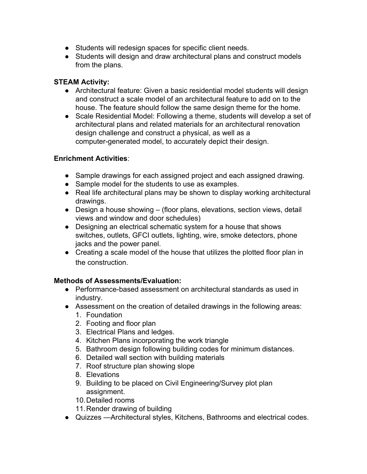- Students will redesign spaces for specific client needs.
- Students will design and draw architectural plans and construct models from the plans.

### **STEAM Activity:**

- Architectural feature: Given a basic residential model students will design and construct a scale model of an architectural feature to add on to the house. The feature should follow the same design theme for the home.
- Scale Residential Model: Following a theme, students will develop a set of architectural plans and related materials for an architectural renovation design challenge and construct a physical, as well as a computer-generated model, to accurately depict their design.

### **Enrichment Activities**:

- Sample drawings for each assigned project and each assigned drawing.
- Sample model for the students to use as examples.
- **●** Real life architectural plans may be shown to display working architectural drawings.
- Design a house showing (floor plans, elevations, section views, detail views and window and door schedules)
- Designing an electrical schematic system for a house that shows switches, outlets, GFCI outlets, lighting, wire, smoke detectors, phone jacks and the power panel.
- Creating a scale model of the house that utilizes the plotted floor plan in the construction.

## **Methods of Assessments/Evaluation:**

- $\bullet$  Performance-based assessment on architectural standards as used in industry.
- Assessment on the creation of detailed drawings in the following areas: 1. Foundation
	- 2. Footing and floor plan
	- 3. Electrical Plans and ledges.
	- 4. Kitchen Plans incorporating the work triangle
	- 5. Bathroom design following building codes for minimum distances.
	- 6. Detailed wall section with building materials
	- 7. Roof structure plan showing slope
	- 8. Elevations
	- 9. Building to be placed on Civil Engineering/Survey plot plan assignment.
	- 10.Detailed rooms
	- 11.Render drawing of building
- Quizzes —Architectural styles, Kitchens, Bathrooms and electrical codes.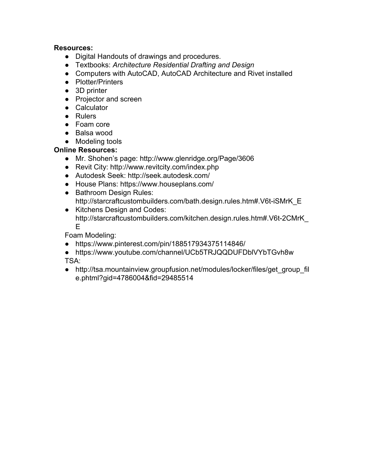#### **Resources:**

- **●** Digital Handouts of drawings and procedures.
- **●** Textbooks: *Architecture Residential Drafting and Design*
- **●** Computers with AutoCAD, AutoCAD Architecture and Rivet installed
- **●** Plotter/Printers
- **●** 3D printer
- **●** Projector and screen
- **●** Calculator
- **●** Rulers
- **●** Foam core
- **●** Balsa wood
- **●** Modeling tools

#### **Online Resources:**

- Mr. Shohen's page: http://www.glenridge.org/Page/3606
- Revit City: http://www.revitcity.com/index.php
- Autodesk Seek: http://seek.autodesk.com/
- **●** House Plans: https://www.houseplans.com/
- **●** Bathroom Design Rules: http://starcraftcustombuilders.com/bath.design.rules.htm#.V6t-iSMrK\_E
- **●** Kitchens Design and Codes: http://starcraftcustombuilders.com/kitchen.design.rules.htm#.V6t-2CMrK\_ E

Foam Modeling:

- https://www.pinterest.com/pin/188517934375114846/
- https://www.youtube.com/channel/UCb5TRJQQDUFDblVYbTGvh8w TSA:
- http://tsa.mountainview.groupfusion.net/modules/locker/files/get\_group\_fil e.phtml?gid=4786004&fid=29485514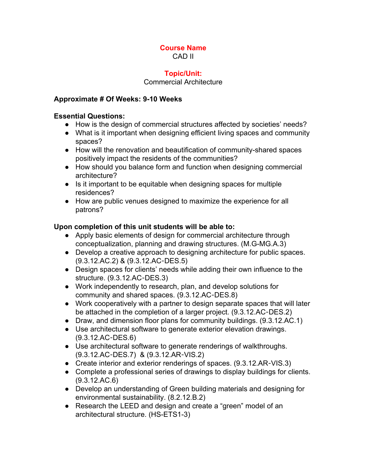#### **Course Name** CAD II

#### **Topic/Unit:**

#### Commercial Architecture

#### **Approximate # Of Weeks: 910 Weeks**

#### **Essential Questions:**

- How is the design of commercial structures affected by societies' needs?
- What is it important when designing efficient living spaces and community spaces?
- How will the renovation and beautification of community-shared spaces positively impact the residents of the communities?
- How should you balance form and function when designing commercial architecture?
- Is it important to be equitable when designing spaces for multiple residences?
- How are public venues designed to maximize the experience for all patrons?

### **Upon completion of this unit students will be able to:**

- Apply basic elements of design for commercial architecture through conceptualization, planning and drawing structures. (M.G-MG.A.3)
- Develop a creative approach to designing architecture for public spaces. (9.3.12.AC.2) & (9.3.12.AC‐DES.5)
- Design spaces for clients' needs while adding their own influence to the structure. (9.3.12.AC‐DES.3)
- Work independently to research, plan, and develop solutions for community and shared spaces. (9.3.12.AC‐DES.8)
- Work cooperatively with a partner to design separate spaces that will later be attached in the completion of a larger project. (9.3.12.AC‐DES.2)
- Draw, and dimension floor plans for community buildings. (9.3.12.AC.1)
- Use architectural software to generate exterior elevation drawings. (9.3.12.AC‐DES.6)
- Use architectural software to generate renderings of walkthroughs. (9.3.12.AC‐DES.7) & (9.3.12.AR‐VIS.2)
- Create interior and exterior renderings of spaces. (9.3.12.AR-VIS.3)
- Complete a professional series of drawings to display buildings for clients. (9.3.12.AC.6)
- Develop an understanding of Green building materials and designing for environmental sustainability. (8.2.12.B.2)
- Research the LEED and design and create a "green" model of an architectural structure. (HS-ETS1-3)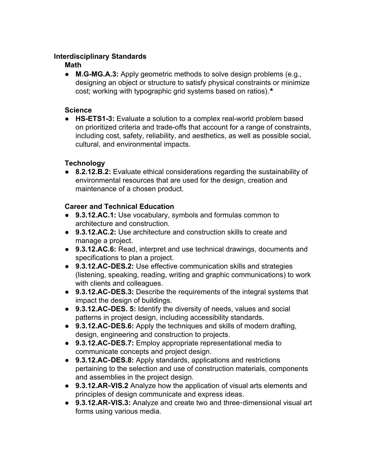### **Interdisciplinary Standards**

#### **Math**

• M.G-MG.A.3: Apply geometric methods to solve design problems (e.g., designing an object or structure to satisfy physical constraints or minimize cost; working with typographic grid systems based on ratios).★

#### **Science**

● HS-ETS1-3: Evaluate a solution to a complex real-world problem based on prioritized criteria and trade-offs that account for a range of constraints, including cost, safety, reliability, and aesthetics, as well as possible social, cultural, and environmental impacts.

### **Technology**

● **8.2.12.B.2:** Evaluate ethical considerations regarding the sustainability of environmental resources that are used for the design, creation and maintenance of a chosen product.

#### **Career and Technical Education**

- **9.3.12.AC.1:** Use vocabulary, symbols and formulas common to architecture and construction.
- **9.3.12.AC.2:** Use architecture and construction skills to create and manage a project.
- **9.3.12.AC.6:** Read, interpret and use technical drawings, documents and specifications to plan a project.
- 9.3.12.AC-DES.2: Use effective communication skills and strategies (listening, speaking, reading, writing and graphic communications) to work with clients and colleagues.
- **9.3.12.AC**‐**DES.3:** Describe the requirements of the integral systems that impact the design of buildings.
- **9.3.12.AC**‐**DES. 5:** Identify the diversity of needs, values and social patterns in project design, including accessibility standards.
- **9.3.12.AC**‐**DES.6:** Apply the techniques and skills of modern drafting, design, engineering and construction to projects.
- **9.3.12.AC**‐**DES.7:** Employ appropriate representational media to communicate concepts and project design.
- **9.3.12.AC**‐**DES.8:** Apply standards, applications and restrictions pertaining to the selection and use of construction materials, components and assemblies in the project design.
- **9.3.12.AR**‐**VIS.2** Analyze how the application of visual arts elements and principles of design communicate and express ideas.
- 9.3.12.AR-VIS.3: Analyze and create two and three-dimensional visual art forms using various media.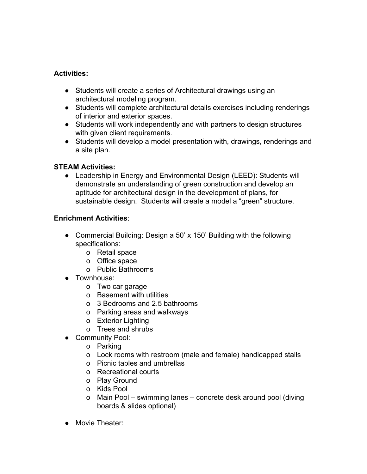### **Activities:**

- Students will create a series of Architectural drawings using an architectural modeling program.
- Students will complete architectural details exercises including renderings of interior and exterior spaces.
- Students will work independently and with partners to design structures with given client requirements.
- Students will develop a model presentation with, drawings, renderings and a site plan.

### **STEAM Activities:**

• Leadership in Energy and Environmental Design (LEED): Students will demonstrate an understanding of green construction and develop an aptitude for architectural design in the development of plans, for sustainable design. Students will create a model a "green" structure.

### **Enrichment Activities**:

- Commercial Building: Design a 50' x 150' Building with the following specifications:
	- o Retail space
	- o Office space
	- o Public Bathrooms
- Townhouse:
	- o Two car garage
	- o Basement with utilities
	- o 3 Bedrooms and 2.5 bathrooms
	- o Parking areas and walkways
	- o Exterior Lighting
	- o Trees and shrubs
- Community Pool:
	- o Parking
	- o Lock rooms with restroom (male and female) handicapped stalls
	- o Picnic tables and umbrellas
	- o Recreational courts
	- o Play Ground
	- o Kids Pool
	- o Main Pool swimming lanes concrete desk around pool (diving boards & slides optional)
- Movie Theater: